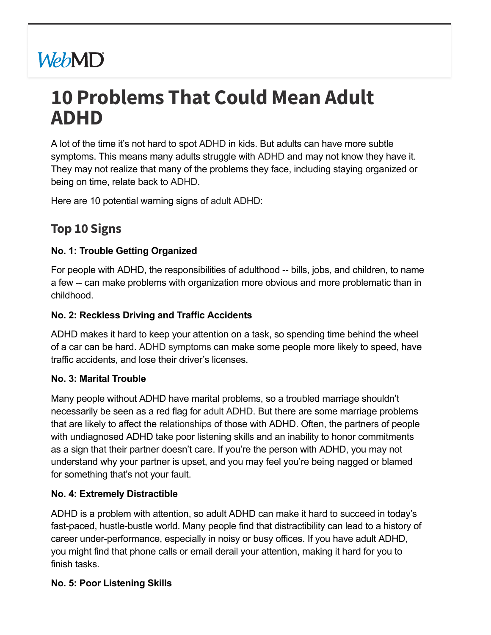# **WebMD**

## **10 Problems That Could Mean Adult ADHD**

A lot of the time it's not hard to spot [ADHD](https://www.webmd.com/add-adhd/default.htm) in kids. But adults can have more subtle symptoms. This means many adults struggle with [ADHD](https://www.webmd.com/add-adhd/ss/slideshow-adhd-in-adults) and may not know they have it. They may not realize that many of the problems they face, including staying organized or being on time, relate back to [ADHD](https://www.webmd.com/add-adhd/adhd-health-check/default.htm).

Here are 10 potential warning signs of adult [ADHD:](https://www.webmd.com/add-adhd/adhd-adults)

### **Top 10 Signs**

#### **No. 1: Trouble Getting Organized**

For people with ADHD, the responsibilities of adulthood -- bills, jobs, and children, to name a few -- can make problems with organization more obvious and more problematic than in childhood.

#### **No. 2: Reckless Driving and Traffic Accidents**

ADHD makes it hard to keep your attention on a task, so spending time behind the wheel of a car can be hard. ADHD [symptoms](https://www.webmd.com/add-adhd/childhood-adhd/adhd-symptoms) can make some people more likely to speed, have traffic accidents, and lose their driver's licenses.

#### **No. 3: Marital Trouble**

Many people without ADHD have marital problems, so a troubled marriage shouldn't necessarily be seen as a red flag for adult [ADHD.](https://www.webmd.com/add-adhd/managementassessment/default.htm) But there are some marriage problems that are likely to affect the [relationships](https://www.webmd.com/sex-relationships/default.htm) of those with ADHD. Often, the partners of people with undiagnosed ADHD take poor listening skills and an inability to honor commitments as a sign that their partner doesn't care. If you're the person with ADHD, you may not understand why your partner is upset, and you may feel you're being nagged or blamed for something that's not your fault.

#### **No. 4: Extremely Distractible**

ADHD is a problem with attention, so adult ADHD can make it hard to succeed in today's fast-paced, hustle-bustle world. Many people find that distractibility can lead to a history of career under-performance, especially in noisy or busy offices. If you have adult ADHD, you might find that phone calls or email derail your attention, making it hard for you to finish tasks.

#### **No. 5: Poor Listening Skills**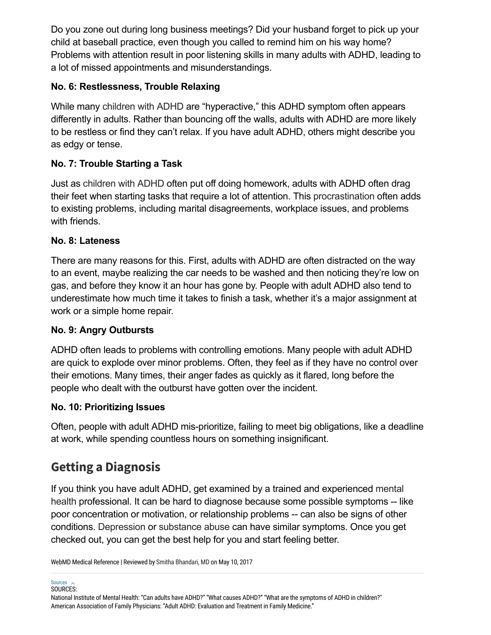Do you zone out during long business meetings? Did your husband forget to pick up your child at baseball practice, even though you called to remind him on his way home? Problems with attention result in poor listening skills in many adults with ADHD, leading to a lot of missed appointments and misunderstandings.

#### **No. 6: Restlessness, Trouble Relaxing**

While many [children](https://www.webmd.com/add-adhd/childhood-adhd/default.htm) with ADHD are "hyperactive," this ADHD symptom often appears differently in adults. Rather than bouncing off the walls, adults with ADHD are more likely to be restless or find they can't relax. If you have adult ADHD, others might describe you as edgy or tense.

#### **No. 7: Trouble Starting a Task**

Just as [children](https://www.webmd.com/add-adhd/childhood-adhd/ss/slideshow-adhd-in-children) with ADHD often put off doing homework, adults with ADHD often drag their feet when starting tasks that require a lot of attention. This [procrastination](https://www.webmd.com/add-adhd/why-do-i-waste-time) often adds to existing problems, including marital disagreements, workplace issues, and problems with friends.

#### **No. 8: Lateness**

There are many reasons for this. First, adults with ADHD are often distracted on the way to an event, maybe realizing the car needs to be washed and then noticing they're low on gas, and before they know it an hour has gone by. People with adult ADHD also tend to underestimate how much time it takes to finish a task, whether it's a major assignment at work or a simple home repair.

#### **No. 9: Angry Outbursts**

ADHD often leads to problems with controlling emotions. Many people with adult ADHD are quick to explode over minor problems. Often, they feel as if they have no control over their emotions. Many times, their anger fades as quickly as it flared, long before the people who dealt with the outburst have gotten over the incident.

#### **No. 10: Prioritizing Issues**

Often, people with adult ADHD mis-prioritize, failing to meet big obligations, like a deadline at work, while spending countless hours on something insignificant.

## **Getting a Diagnosis**

If you think you have adult ADHD, get examined by a trained and experienced mental health [professional.](https://www.webmd.com/mental-health/default.htm) It can be hard to diagnose because some possible symptoms -- like poor concentration or motivation, or relationship problems -- can also be signs of other conditions. [Depression](https://www.webmd.com/depression/default.htm) or [substance](https://www.webmd.com/mental-health/addiction/default.htm) abuse can have similar symptoms. Once you get checked out, you can get the best help for you and start feeling better.

WebMD Medical Reference | Reviewed by Smitha [Bhandari,](https://www.webmd.com/smitha-bhandari) MD on May 10, 2017

Sources Sources  $\sim$ <br>SOURCES:

National Institute of Mental Health: "Can adults have ADHD?" "What causes ADHD?" "What are the symptoms of ADHD in children?" American Association of Family Physicians: "Adult ADHD: Evaluation and Treatment in Family Medicine."